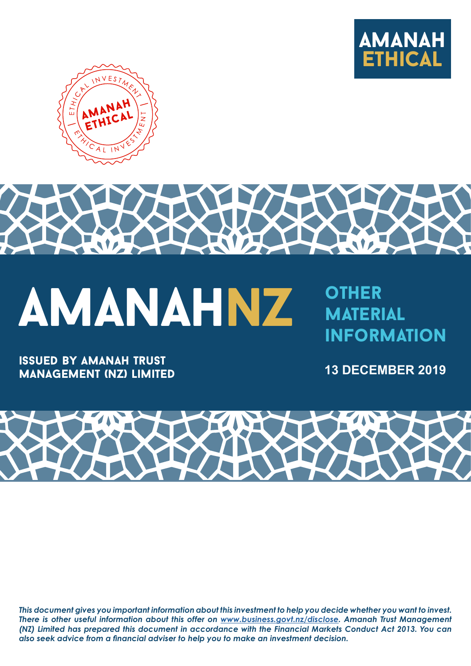





**MATERIAL INFORMATION** 

issued by amanah trust management (nz) limited **13 DECEMBER 2019**



*This document gives you important information about this investment to help you decide whether you want to invest. There is other useful information about this offer on [www.business.govt.nz/disclose](http://www.business.govt.nz/disclose). Amanah Trust Management (NZ) Limited has prepared this document in accordance with the Financial Markets Conduct Act 2013. You can also seek advice from a financial adviser to help you to make an investment decision.*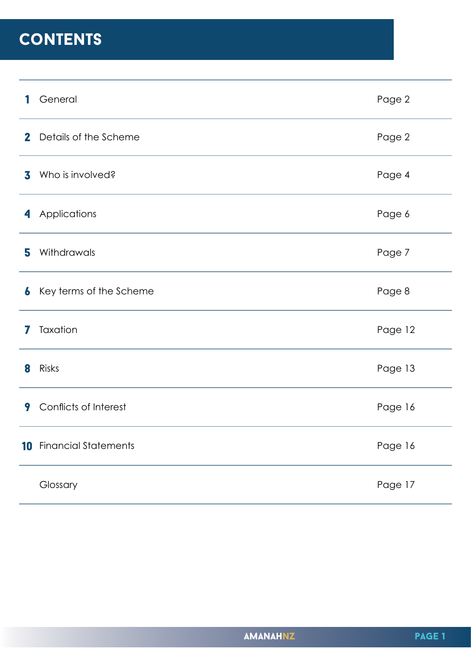## **CONTENTS**

| 1            | General                     | Page 2  |
|--------------|-----------------------------|---------|
| $\mathbf{2}$ | Details of the Scheme       | Page 2  |
| 3            | Who is involved?            | Page 4  |
| 4            | Applications                | Page 6  |
| 5            | Withdrawals                 | Page 7  |
| 6            | Key terms of the Scheme     | Page 8  |
| 7            | Taxation                    | Page 12 |
| 8            | Risks                       | Page 13 |
| 9            | Conflicts of Interest       | Page 16 |
| 10           | <b>Financial Statements</b> | Page 16 |
|              | Glossary                    | Page 17 |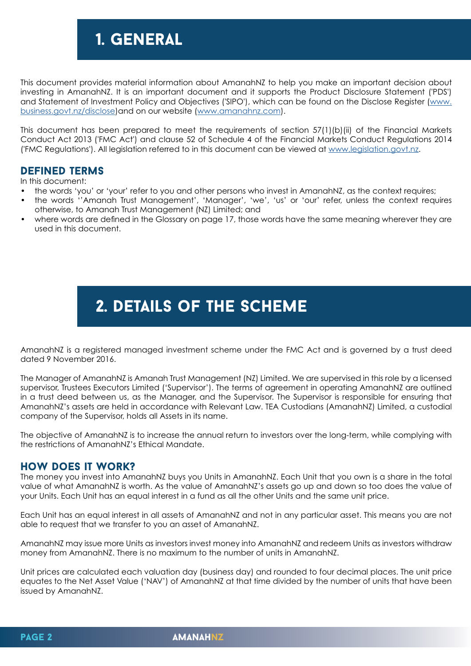## 1. General

This document provides material information about AmanahNZ to help you make an important decision about investing in AmanahNZ. It is an important document and it supports the Product Disclosure Statement ('PDS') and Statement of Investment Policy and Objectives ('SIPO'), which can be found on the Disclose Register (www. business.govt.nz/disclose)and on ou[r website \(www.amanahnz.com\).](http://www.business.govt.nz/disclose)

This document has been [prepared to mee](http://www.amanahnz.com)t the requirements of section 57(1)(b)(ii) of the Financial Markets Conduct Act 2013 ('FMC Act') and clause 52 of Schedule 4 of the Financial Markets Conduct Regulations 2014 ('FMC Regulations'). All legislation referred to in this document can be viewed at www.legislation.govt.nz.

#### Defined term[s](http://www.legislation.govt.nz)

In this document:

- the words 'you' or 'your' refer to you and other persons who invest in AmanahNZ, as the context requires;
- the words ''Amanah Trust Management', 'Manager', 'we', 'us' or 'our' refer, unless the context requires otherwise, to Amanah Trust Management (NZ) Limited; and
- where words are defined in the Glossary on page 17, those words have the same meaning wherever they are used in this document.

## 2. details of the Scheme

AmanahNZ is a registered managed investment scheme under the FMC Act and is governed by a trust deed dated 9 November 2016.

The Manager of AmanahNZ is Amanah Trust Management (NZ) Limited. We are supervised in this role by a licensed supervisor, Trustees Executors Limited ('Supervisor'). The terms of agreement in operating AmanahNZ are outlined in a trust deed between us, as the Manager, and the Supervisor. The Supervisor is responsible for ensuring that AmanahNZ's assets are held in accordance with Relevant Law. TEA Custodians (AmanahNZ) Limited, a custodial company of the Supervisor, holds all Assets in its name.

The objective of AmanahNZ is to increase the annual return to investors over the long-term, while complying with the restrictions of AmanahNZ's Ethical Mandate.

#### How does it work?

The money you invest into AmanahNZ buys you Units in AmanahNZ. Each Unit that you own is a share in the total value of what AmanahNZ is worth. As the value of AmanahNZ's assets go up and down so too does the value of your Units. Each Unit has an equal interest in a fund as all the other Units and the same unit price.

Each Unit has an equal interest in all assets of AmanahNZ and not in any particular asset. This means you are not able to request that we transfer to you an asset of AmanahNZ.

AmanahNZ may issue more Units as investors invest money into AmanahNZ and redeem Units as investors withdraw money from AmanahNZ. There is no maximum to the number of units in AmanahNZ.

Unit prices are calculated each valuation day (business day) and rounded to four decimal places. The unit price equates to the Net Asset Value ('NAV') of AmanahNZ at that time divided by the number of units that have been issued by AmanahNZ.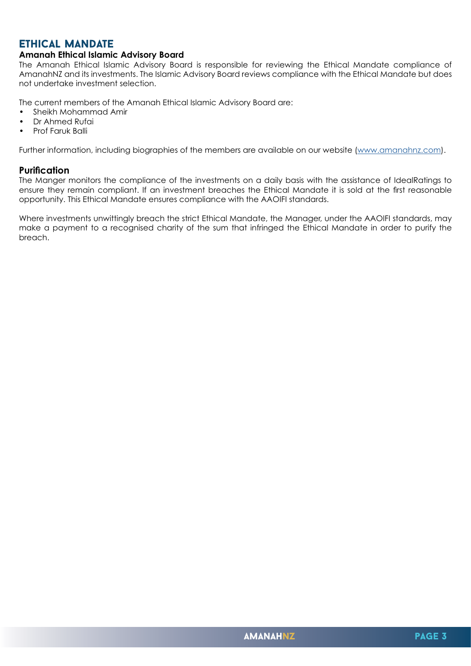#### Ethical Mandate

#### **Amanah Ethical Islamic Advisory Board**

The Amanah Ethical Islamic Advisory Board is responsible for reviewing the Ethical Mandate compliance of AmanahNZ and its investments. The Islamic Advisory Board reviews compliance with the Ethical Mandate but does not undertake investment selection.

The current members of the Amanah Ethical Islamic Advisory Board are:

- Sheikh Mohammad Amir
- Dr Ahmed Rufai
- Prof Faruk Balli

Further information, including biographies of the members are available on our website [\(www.amanahnz.com](http://www.amanahnz.com)).

#### **Purification**

The Manger monitors the compliance of the investments on a daily basis with the assistance of IdealRatings to ensure they remain compliant. If an investment breaches the Ethical Mandate it is sold at the first reasonable opportunity. This Ethical Mandate ensures compliance with the AAOIFI standards.

Where investments unwittingly breach the strict Ethical Mandate, the Manager, under the AAOIFI standards, may make a payment to a recognised charity of the sum that infringed the Ethical Mandate in order to purify the breach.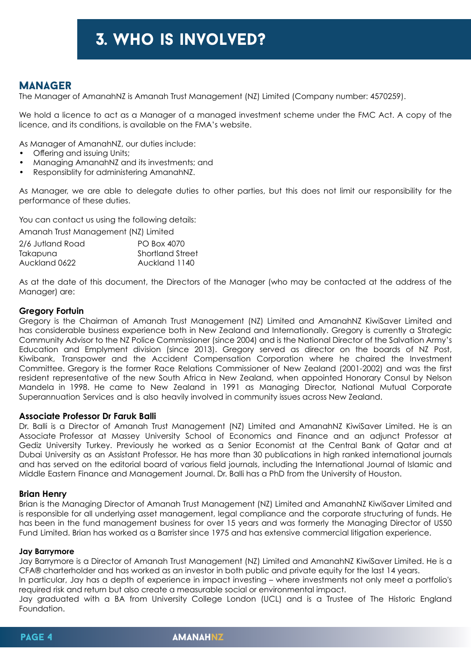## 3. who is involved?

#### **MANAGER**

The Manager of AmanahNZ is Amanah Trust Management (NZ) Limited (Company number: 4570259).

We hold a licence to act as a Manager of a managed investment scheme under the FMC Act. A copy of the licence, and its conditions, is available on the FMA's website.

As Manager of AmanahNZ, our duties include:

- Offering and issuing Units;
- Managing AmanahNZ and its investments; and
- Responsiblity for administering AmanahNZ.

As Manager, we are able to delegate duties to other parties, but this does not limit our responsibility for the performance of these duties.

You can contact us using the following details:

Amanah Trust Management (NZ) Limited

| 2/6 Jutland Road | PO Box 4070             |
|------------------|-------------------------|
| Takapuna         | <b>Shortland Street</b> |
| Auckland 0622    | Auckland 1140           |

As at the date of this document, the Directors of the Manager (who may be contacted at the address of the Manager) are:

#### **Gregory Fortuin**

Gregory is the Chairman of Amanah Trust Management (NZ) Limited and AmanahNZ KiwiSaver Limited and has considerable business experience both in New Zealand and Internationally. Gregory is currently a Strategic Community Advisor to the NZ Police Commissioner (since 2004) and is the National Director of the Salvation Army's Education and Emplyment division (since 2013). Gregory served as director on the boards of NZ Post, Kiwibank, Transpower and the Accident Compensation Corporation where he chaired the Investment Committee. Gregory is the former Race Relations Commissioner of New Zealand (2001-2002) and was the first resident representative of the new South Africa in New Zealand, when appointed Honorary Consul by Nelson Mandela in 1998. He came to New Zealand in 1991 as Managing Director, National Mutual Corporate Superannuation Services and is also heavily involved in community issues across New Zealand.

#### **Associate Professor Dr Faruk Balli**

Dr. Balli is a Director of Amanah Trust Management (NZ) Limited and AmanahNZ KiwiSaver Limited. He is an Associate Professor at Massey University School of Economics and Finance and an adjunct Professor at Gediz University Turkey. Previously he worked as a Senior Economist at the Central Bank of Qatar and at Dubai University as an Assistant Professor. He has more than 30 publications in high ranked international journals and has served on the editorial board of various field journals, including the International Journal of Islamic and Middle Eastern Finance and Management Journal. Dr. Balli has a PhD from the University of Houston.

#### **Brian Henry**

Brian is the Managing Director of Amanah Trust Management (NZ) Limited and AmanahNZ KiwiSaver Limited and is responsible for all underlying asset management, legal compliance and the corporate structuring of funds. He has been in the fund management business for over 15 years and was formerly the Managing Director of US50 Fund Limited. Brian has worked as a Barrister since 1975 and has extensive commercial litigation experience.

#### **Jay Barrymore**

Jay Barrymore is a Director of Amanah Trust Management (NZ) Limited and AmanahNZ KiwiSaver Limited. He is a CFA® charterholder and has worked as an investor in both public and private equity for the last 14 years.

In particular, Jay has a depth of experience in impact investing – where investments not only meet a portfolio's required risk and return but also create a measurable social or environmental impact.

Jay graduated with a BA from University College London (UCL) and is a Trustee of The Historic England Foundation.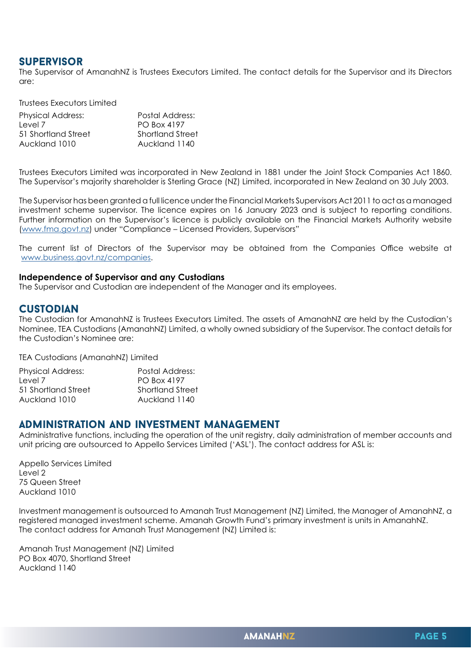#### **SUPERVISOR**

The Supervisor of AmanahNZ is Trustees Executors Limited. The contact details for the Supervisor and its Directors are:

Trustees Executors Limited

| <b>Physical Address:</b> | Postal Address:         |
|--------------------------|-------------------------|
| Level 7                  | PO Box 4197             |
| 51 Shortland Street      | <b>Shortland Street</b> |
| Auckland 1010            | Auckland 1140           |

Trustees Executors Limited was incorporated in New Zealand in 1881 under the Joint Stock Companies Act 1860. The Supervisor's majority shareholder is Sterling Grace (NZ) Limited, incorporated in New Zealand on 30 July 2003.

The Supervisor has been granted a full licence under the Financial Markets Supervisors Act 2011 to act as a managed investment scheme supervisor. The licence expires on 16 January 2023 and is subject to reporting conditions. Further information on the Supervisor's licence is publicly available on the Financial Markets Authority website ([www.fma.govt.nz\)](http://www.fma.govt.nz) under "Compliance – Licensed Providers, Supervisors"

The current list of Directors of the Supervisor may be obtained from the Companies Office website at [www.business.govt.nz/companies.](http://www.business.govt.nz/companies)

#### **Independence of Supervisor and any Custodians**

The Supervisor and Custodian are independent of the Manager and its employees.

#### **CUSTODIAN**

The Custodian for AmanahNZ is Trustees Executors Limited. The assets of AmanahNZ are held by the Custodian's Nominee, TEA Custodians (AmanahNZ) Limited, a wholly owned subsidiary of the Supervisor. The contact details for the Custodian's Nominee are:

TEA Custodians (AmanahNZ) Limited

| <b>Physical Address:</b> | Postal Address:  |
|--------------------------|------------------|
| Level 7                  | PO Box 4197      |
| 51 Shortland Street      | Shortland Street |
| Auckland 1010            | Auckland 1140    |

#### Administration and investment management

Administrative functions, including the operation of the unit registry, daily administration of member accounts and unit pricing are outsourced to Appello Services Limited ('ASL'). The contact address for ASL is:

Appello Services Limited Level 2 75 Queen Street Auckland 1010

Investment management is outsourced to Amanah Trust Management (NZ) Limited, the Manager of AmanahNZ, a registered managed investment scheme. Amanah Growth Fund's primary investment is units in AmanahNZ. The contact address for Amanah Trust Management (NZ) Limited is:

Amanah Trust Management (NZ) Limited PO Box 4070, Shortland Street Auckland 1140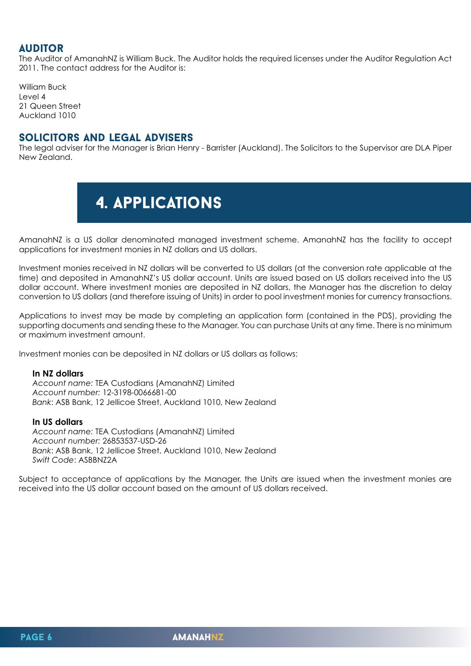#### **AUDITOR**

The Auditor of AmanahNZ is William Buck. The Auditor holds the required licenses under the Auditor Regulation Act 2011. The contact address for the Auditor is:

William Buck Level 4 21 Queen Street Auckland 1010

#### Solicitors and legal advisers

The legal adviser for the Manager is Brian Henry - Barrister (Auckland). The Solicitors to the Supervisor are DLA Piper New Zealand.

## 4. applications

AmanahNZ is a US dollar denominated managed investment scheme. AmanahNZ has the facility to accept applications for investment monies in NZ dollars and US dollars.

Investment monies received in NZ dollars will be converted to US dollars (at the conversion rate applicable at the time) and deposited in AmanahNZ's US dollar account. Units are issued based on US dollars received into the US dollar account. Where investment monies are deposited in NZ dollars, the Manager has the discretion to delay conversion to US dollars (and therefore issuing of Units) in order to pool investment monies for currency transactions.

Applications to invest may be made by completing an application form (contained in the PDS), providing the supporting documents and sending these to the Manager. You can purchase Units at any time. There is no minimum or maximum investment amount.

Investment monies can be deposited in NZ dollars or US dollars as follows:

#### **In NZ dollars**

*Account name:* TEA Custodians (AmanahNZ) Limited *Account number:* 12-3198-0066681-00 *Bank*: ASB Bank, 12 Jellicoe Street, Auckland 1010, New Zealand

#### **In US dollars**

*Account name:* TEA Custodians (AmanahNZ) Limited *Account number:* 26853537-USD-26 *Bank*: ASB Bank, 12 Jellicoe Street, Auckland 1010, New Zealand *Swift Code*: ASBBNZ2A

Subject to acceptance of applications by the Manager, the Units are issued when the investment monies are received into the US dollar account based on the amount of US dollars received.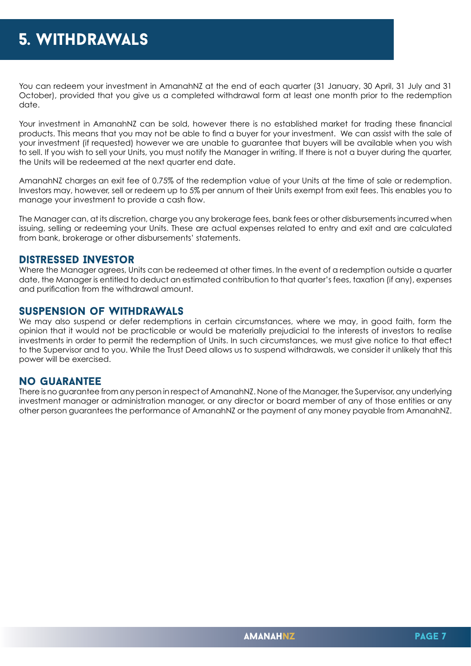You can redeem your investment in AmanahNZ at the end of each quarter (31 January, 30 April, 31 July and 31 October), provided that you give us a completed withdrawal form at least one month prior to the redemption date.

Your investment in AmanahNZ can be sold, however there is no established market for trading these financial products. This means that you may not be able to find a buyer for your investment. We can assist with the sale of your investment (if requested) however we are unable to guarantee that buyers will be available when you wish to sell. If you wish to sell your Units, you must notify the Manager in writing. If there is not a buyer during the quarter, the Units will be redeemed at the next quarter end date.

AmanahNZ charges an exit fee of 0.75% of the redemption value of your Units at the time of sale or redemption. Investors may, however, sell or redeem up to 5% per annum of their Units exempt from exit fees. This enables you to manage your investment to provide a cash flow.

The Manager can, at its discretion, charge you any brokerage fees, bank fees or other disbursements incurred when issuing, selling or redeeming your Units. These are actual expenses related to entry and exit and are calculated from bank, brokerage or other disbursements' statements.

#### Distressed Investor

Where the Manager agrees, Units can be redeemed at other times. In the event of a redemption outside a quarter date, the Manager is entitled to deduct an estimated contribution to that quarter's fees, taxation (if any), expenses and purification from the withdrawal amount.

#### Suspension of Withdrawals

We may also suspend or defer redemptions in certain circumstances, where we may, in good faith, form the opinion that it would not be practicable or would be materially prejudicial to the interests of investors to realise investments in order to permit the redemption of Units. In such circumstances, we must give notice to that effect to the Supervisor and to you. While the Trust Deed allows us to suspend withdrawals, we consider it unlikely that this power will be exercised.

#### No guarantee

There is no guarantee from any person in respect of AmanahNZ. None of the Manager, the Supervisor, any underlying investment manager or administration manager, or any director or board member of any of those entities or any other person guarantees the performance of AmanahNZ or the payment of any money payable from AmanahNZ.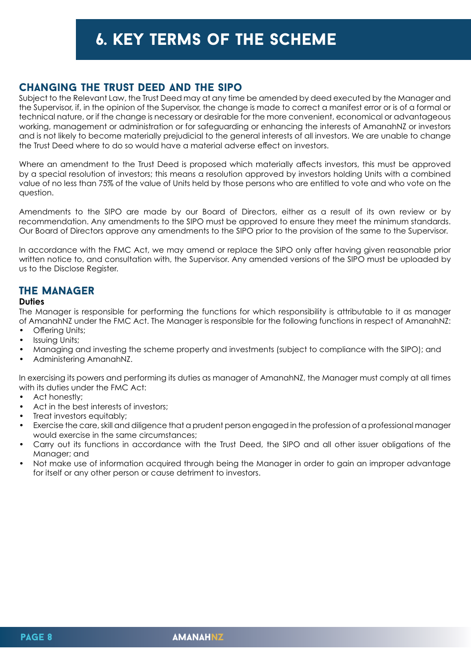## 6. key terms of the scheme

#### Changing the Trust Deed and the sipo

Subject to the Relevant Law, the Trust Deed may at any time be amended by deed executed by the Manager and the Supervisor, if, in the opinion of the Supervisor, the change is made to correct a manifest error or is of a formal or technical nature, or if the change is necessary or desirable for the more convenient, economical or advantageous working, management or administration or for safeguarding or enhancing the interests of AmanahNZ or investors and is not likely to become materially prejudicial to the general interests of all investors. We are unable to change the Trust Deed where to do so would have a material adverse effect on investors.

Where an amendment to the Trust Deed is proposed which materially affects investors, this must be approved by a special resolution of investors; this means a resolution approved by investors holding Units with a combined value of no less than 75% of the value of Units held by those persons who are entitled to vote and who vote on the question.

Amendments to the SIPO are made by our Board of Directors, either as a result of its own review or by recommendation. Any amendments to the SIPO must be approved to ensure they meet the minimum standards. Our Board of Directors approve any amendments to the SIPO prior to the provision of the same to the Supervisor.

In accordance with the FMC Act, we may amend or replace the SIPO only after having given reasonable prior written notice to, and consultation with, the Supervisor. Any amended versions of the SIPO must be uploaded by us to the Disclose Register.

### The Manager

#### **Duties**

The Manager is responsible for performing the functions for which responsibility is attributable to it as manager of AmanahNZ under the FMC Act. The Manager is responsible for the following functions in respect of AmanahNZ:

- Offering Units;
- Issuing Units;
- Managing and investing the scheme property and investments (subject to compliance with the SIPO); and
- Administering AmanahNZ.

In exercising its powers and performing its duties as manager of AmanahNZ, the Manager must comply at all times with its duties under the FMC Act:

- Act honestly:
- Act in the best interests of investors;
- Treat investors equitably;
- Exercise the care, skill and diligence that a prudent person engaged in the profession of a professional manager would exercise in the same circumstances;
- Carry out its functions in accordance with the Trust Deed, the SIPO and all other issuer obligations of the Manager; and
- Not make use of information acquired through being the Manager in order to gain an improper advantage for itself or any other person or cause detriment to investors.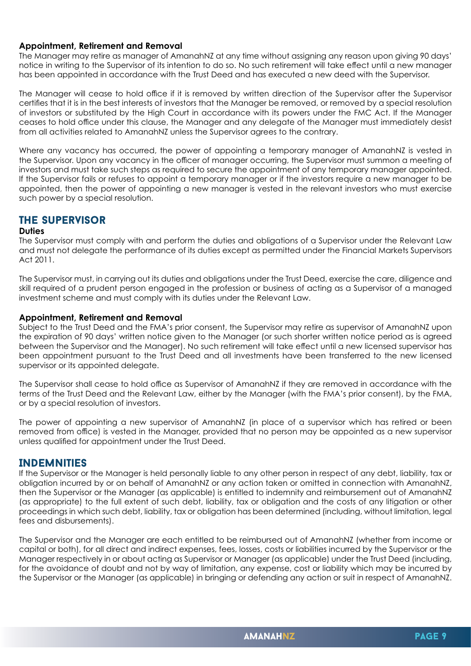#### **Appointment, Retirement and Removal**

The Manager may retire as manager of AmanahNZ at any time without assigning any reason upon giving 90 days' notice in writing to the Supervisor of its intention to do so. No such retirement will take effect until a new manager has been appointed in accordance with the Trust Deed and has executed a new deed with the Supervisor.

The Manager will cease to hold office if it is removed by written direction of the Supervisor after the Supervisor certifies that it is in the best interests of investors that the Manager be removed, or removed by a special resolution of investors or substituted by the High Court in accordance with its powers under the FMC Act. If the Manager ceases to hold office under this clause, the Manager and any delegate of the Manager must immediately desist from all activities related to AmanahNZ unless the Supervisor agrees to the contrary.

Where any vacancy has occurred, the power of appointing a temporary manager of AmanahNZ is vested in the Supervisor. Upon any vacancy in the officer of manager occurring, the Supervisor must summon a meeting of investors and must take such steps as required to secure the appointment of any temporary manager appointed. If the Supervisor fails or refuses to appoint a temporary manager or if the investors require a new manager to be appointed, then the power of appointing a new manager is vested in the relevant investors who must exercise such power by a special resolution.

#### The Supervisor

#### **Duties**

The Supervisor must comply with and perform the duties and obligations of a Supervisor under the Relevant Law and must not delegate the performance of its duties except as permitted under the Financial Markets Supervisors Act 2011.

The Supervisor must, in carrying out its duties and obligations under the Trust Deed, exercise the care, diligence and skill required of a prudent person engaged in the profession or business of acting as a Supervisor of a managed investment scheme and must comply with its duties under the Relevant Law.

#### **Appointment, Retirement and Removal**

Subject to the Trust Deed and the FMA's prior consent, the Supervisor may retire as supervisor of AmanahNZ upon the expiration of 90 days' written notice given to the Manager (or such shorter written notice period as is agreed between the Supervisor and the Manager). No such retirement will take effect until a new licensed supervisor has been appointment pursuant to the Trust Deed and all investments have been transferred to the new licensed supervisor or its appointed delegate.

The Supervisor shall cease to hold office as Supervisor of AmanahNZ if they are removed in accordance with the terms of the Trust Deed and the Relevant Law, either by the Manager (with the FMA's prior consent), by the FMA, or by a special resolution of investors.

The power of appointing a new supervisor of AmanahNZ (in place of a supervisor which has retired or been removed from office) is vested in the Manager, provided that no person may be appointed as a new supervisor unless qualified for appointment under the Trust Deed.

#### **INDEMNITIES**

If the Supervisor or the Manager is held personally liable to any other person in respect of any debt, liability, tax or obligation incurred by or on behalf of AmanahNZ or any action taken or omitted in connection with AmanahNZ, then the Supervisor or the Manager (as applicable) is entitled to indemnity and reimbursement out of AmanahNZ (as appropriate) to the full extent of such debt, liability, tax or obligation and the costs of any litigation or other proceedings in which such debt, liability, tax or obligation has been determined (including, without limitation, legal fees and disbursements).

The Supervisor and the Manager are each entitled to be reimbursed out of AmanahNZ (whether from income or capital or both), for all direct and indirect expenses, fees, losses, costs or liabilities incurred by the Supervisor or the Manager respectively in or about acting as Supervisor or Manager (as applicable) under the Trust Deed (including, for the avoidance of doubt and not by way of limitation, any expense, cost or liability which may be incurred by the Supervisor or the Manager (as applicable) in bringing or defending any action or suit in respect of AmanahNZ.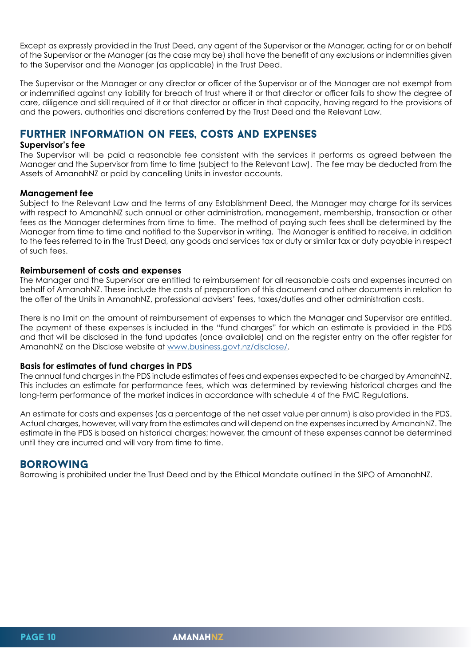Except as expressly provided in the Trust Deed, any agent of the Supervisor or the Manager, acting for or on behalf of the Supervisor or the Manager (as the case may be) shall have the benefit of any exclusions or indemnities given to the Supervisor and the Manager (as applicable) in the Trust Deed.

The Supervisor or the Manager or any director or officer of the Supervisor or of the Manager are not exempt from or indemnified against any liability for breach of trust where it or that director or officer fails to show the degree of care, diligence and skill required of it or that director or officer in that capacity, having regard to the provisions of and the powers, authorities and discretions conferred by the Trust Deed and the Relevant Law.

#### Further information on fees, costs and expenses

#### **Supervisor's fee**

The Supervisor will be paid a reasonable fee consistent with the services it performs as agreed between the Manager and the Supervisor from time to time (subject to the Relevant Law). The fee may be deducted from the Assets of AmanahNZ or paid by cancelling Units in investor accounts.

#### **Management fee**

Subject to the Relevant Law and the terms of any Establishment Deed, the Manager may charge for its services with respect to AmanahNZ such annual or other administration, management, membership, transaction or other fees as the Manager determines from time to time. The method of paying such fees shall be determined by the Manager from time to time and notified to the Supervisor in writing. The Manager is entitled to receive, in addition to the fees referred to in the Trust Deed, any goods and services tax or duty or similar tax or duty payable in respect of such fees.

#### **Reimbursement of costs and expenses**

The Manager and the Supervisor are entitled to reimbursement for all reasonable costs and expenses incurred on behalf of AmanahNZ. These include the costs of preparation of this document and other documents in relation to the offer of the Units in AmanahNZ, professional advisers' fees, taxes/duties and other administration costs.

There is no limit on the amount of reimbursement of expenses to which the Manager and Supervisor are entitled. The payment of these expenses is included in the "fund charges" for which an estimate is provided in the PDS and that will be disclosed in the fund updates (once available) and on the register entry on the offer register for AmanahNZ on the Disclose website at [www.business.govt.nz/disclose/.](http://www.business.govt.nz/disclose/)

#### **Basis for estimates of fund charges in PDS**

The annual fund charges in the PDS include estimates of fees and expenses expected to be charged by AmanahNZ. This includes an estimate for performance fees, which was determined by reviewing historical charges and the long-term performance of the market indices in accordance with schedule 4 of the FMC Regulations.

An estimate for costs and expenses (as a percentage of the net asset value per annum) is also provided in the PDS. Actual charges, however, will vary from the estimates and will depend on the expenses incurred by AmanahNZ. The estimate in the PDS is based on historical charges; however, the amount of these expenses cannot be determined until they are incurred and will vary from time to time.

#### **BORROWING**

Borrowing is prohibited under the Trust Deed and by the Ethical Mandate outlined in the SIPO of AmanahNZ.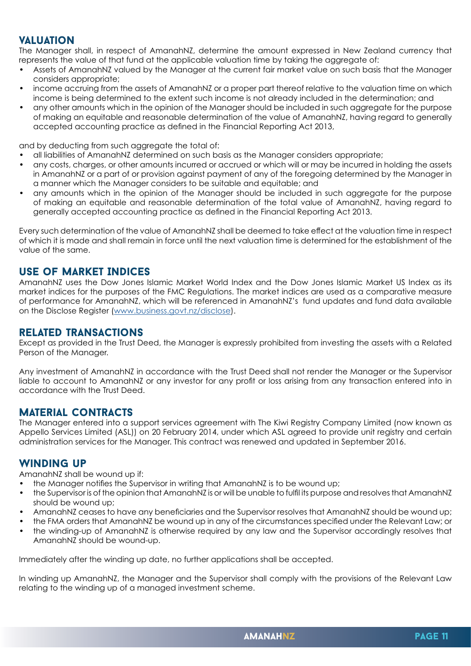#### **VALUATION**

The Manager shall, in respect of AmanahNZ, determine the amount expressed in New Zealand currency that represents the value of that fund at the applicable valuation time by taking the aggregate of:

- Assets of AmanahNZ valued by the Manager at the current fair market value on such basis that the Manager considers appropriate;
- income accruing from the assets of AmanahNZ or a proper part thereof relative to the valuation time on which income is being determined to the extent such income is not already included in the determination; and
- any other amounts which in the opinion of the Manager should be included in such aggregate for the purpose of making an equitable and reasonable determination of the value of AmanahNZ, having regard to generally accepted accounting practice as defined in the Financial Reporting Act 2013,

and by deducting from such aggregate the total of:

- all liabilities of AmanahNZ determined on such basis as the Manager considers appropriate;
- any costs, charges, or other amounts incurred or accrued or which will or may be incurred in holding the assets in AmanahNZ or a part of or provision against payment of any of the foregoing determined by the Manager in a manner which the Manager considers to be suitable and equitable; and
- any amounts which in the opinion of the Manager should be included in such aggregate for the purpose of making an equitable and reasonable determination of the total value of AmanahNZ, having regard to generally accepted accounting practice as defined in the Financial Reporting Act 2013.

Every such determination of the value of AmanahNZ shall be deemed to take effect at the valuation time in respect of which it is made and shall remain in force until the next valuation time is determined for the establishment of the value of the same.

#### use of Market Indices

AmanahNZ uses the Dow Jones Islamic Market World Index and the Dow Jones Islamic Market US Index as its market indices for the purposes of the FMC Regulations. The market indices are used as a comparative measure of performance for AmanahNZ, which will be referenced in AmanahNZ's fund updates and fund data available on the Disclose Register [\(www.business.govt.nz/disclose\)](http://www.business.govt.nz/disclose).

#### related transactions

Except as provided in the Trust Deed, the Manager is expressly prohibited from investing the assets with a Related Person of the Manager.

Any investment of AmanahNZ in accordance with the Trust Deed shall not render the Manager or the Supervisor liable to account to AmanahNZ or any investor for any profit or loss arising from any transaction entered into in accordance with the Trust Deed.

#### Material contracts

The Manager entered into a support services agreement with The Kiwi Registry Company Limited (now known as Appello Services Limited (ASL)) on 20 February 2014, under which ASL agreed to provide unit registry and certain administration services for the Manager. This contract was renewed and updated in September 2016.

#### WINDING UP

AmanahNZ shall be wound up if:

- the Manager notifies the Supervisor in writing that AmanahNZ is to be wound up;
- the Supervisor is of the opinion that AmanahNZ is or will be unable to fulfil its purpose and resolves that AmanahNZ should be wound up;
- AmanahNZ ceases to have any beneficiaries and the Supervisor resolves that AmanahNZ should be wound up;
- the FMA orders that AmanahNZ be wound up in any of the circumstances specified under the Relevant Law; or • the winding-up of AmanahNZ is otherwise required by any law and the Supervisor accordingly resolves that AmanahNZ should be wound-up.

Immediately after the winding up date, no further applications shall be accepted.

In winding up AmanahNZ, the Manager and the Supervisor shall comply with the provisions of the Relevant Law relating to the winding up of a managed investment scheme.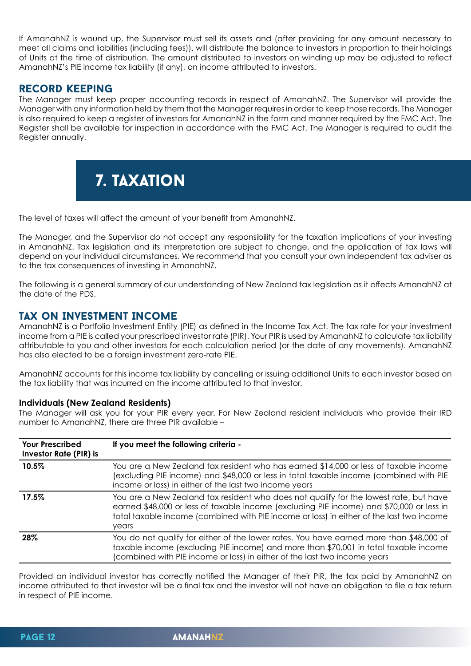If AmanahNZ is wound up, the Supervisor must sell its assets and (after providing for any amount necessary to meet all claims and liabilities (including fees)), will distribute the balance to investors in proportion to their holdings of Units at the time of distribution. The amount distributed to investors on winding up may be adjusted to reflect AmanahNZ's PIE income tax liability (if any), on income attributed to investors.

#### record keeping

The Manager must keep proper accounting records in respect of AmanahNZ. The Supervisor will provide the Manager with any information held by them that the Manager requires in order to keep those records. The Manager is also required to keep a register of investors for AmanahNZ in the form and manner required by the FMC Act. The Register shall be available for inspection in accordance with the FMC Act. The Manager is required to audit the Register annually.



The level of taxes will affect the amount of your benefit from AmanahNZ.

The Manager, and the Supervisor do not accept any responsibility for the taxation implications of your investing in AmanahNZ. Tax legislation and its interpretation are subject to change, and the application of tax laws will depend on your individual circumstances. We recommend that you consult your own independent tax adviser as to the tax consequences of investing in AmanahNZ.

The following is a general summary of our understanding of New Zealand tax legislation as it affects AmanahNZ at the date of the PDS.

#### Tax on Investment Income

AmanahNZ is a Portfolio Investment Entity (PIE) as defined in the Income Tax Act. The tax rate for your investment income from a PIE is called your prescribed investor rate (PIR). Your PIR is used by AmanahNZ to calculate tax liability attributable to you and other investors for each calculation period (or the date of any movements). AmanahNZ has also elected to be a foreign investment zero-rate PIE.

AmanahNZ accounts for this income tax liability by cancelling or issuing additional Units to each investor based on the tax liability that was incurred on the income attributed to that investor.

#### **Individuals (New Zealand Residents)**

The Manager will ask you for your PIR every year. For New Zealand resident individuals who provide their IRD number to AmanahNZ, there are three PIR available –

| <b>Your Prescribed</b><br><b>Investor Rate (PIR) is</b> | If you meet the following criteria -                                                                                                                                                                                                                                                   |
|---------------------------------------------------------|----------------------------------------------------------------------------------------------------------------------------------------------------------------------------------------------------------------------------------------------------------------------------------------|
| 10.5%                                                   | You are a New Zealand tax resident who has earned \$14,000 or less of taxable income<br>(excluding PIE income) and \$48,000 or less in total taxable income (combined with PIE<br>income or loss) in either of the last two income years                                               |
| 17.5%                                                   | You are a New Zealand tax resident who does not qualify for the lowest rate, but have<br>earned \$48,000 or less of taxable income (excluding PIE income) and \$70,000 or less in<br>total taxable income (combined with PIE income or loss) in either of the last two income<br>years |
| 28%                                                     | You do not qualify for either of the lower rates. You have earned more than \$48,000 of<br>taxable income (excluding PIE income) and more than \$70,001 in total taxable income<br>(combined with PIE income or loss) in either of the last two income years                           |

Provided an individual investor has correctly notified the Manager of their PIR, the tax paid by AmanahNZ on income attributed to that investor will be a final tax and the investor will not have an obligation to file a tax return in respect of PIE income.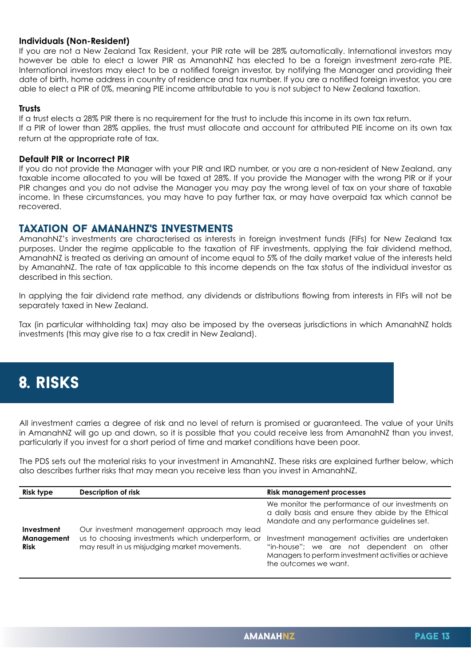#### **Individuals (Non-Resident)**

If you are not a New Zealand Tax Resident, your PIR rate will be 28% automatically. International investors may however be able to elect a lower PIR as AmanahNZ has elected to be a foreign investment zero-rate PIE. International investors may elect to be a notified foreign investor, by notifying the Manager and providing their date of birth, home address in country of residence and tax number. If you are a notified foreign investor, you are able to elect a PIR of 0%, meaning PIE income attributable to you is not subject to New Zealand taxation.

#### **Trusts**

If a trust elects a 28% PIR there is no requirement for the trust to include this income in its own tax return. If a PIR of lower than 28% applies, the trust must allocate and account for attributed PIE income on its own tax return at the appropriate rate of tax.

#### **Default PIR or Incorrect PIR**

If you do not provide the Manager with your PIR and IRD number, or you are a non-resident of New Zealand, any taxable income allocated to you will be taxed at 28%. If you provide the Manager with the wrong PIR or if your PIR changes and you do not advise the Manager you may pay the wrong level of tax on your share of taxable income. In these circumstances, you may have to pay further tax, or may have overpaid tax which cannot be recovered.

#### Taxation of AmanahNZ's Investments

AmanahNZ's investments are characterised as interests in foreign investment funds (FIFs) for New Zealand tax purposes. Under the regime applicable to the taxation of FIF investments, applying the fair dividend method, AmanahNZ is treated as deriving an amount of income equal to 5% of the daily market value of the interests held by AmanahNZ. The rate of tax applicable to this income depends on the tax status of the individual investor as described in this section.

In applying the fair dividend rate method, any dividends or distributions flowing from interests in FIFs will not be separately taxed in New Zealand.

Tax (in particular withholding tax) may also be imposed by the overseas jurisdictions in which AmanahNZ holds investments (this may give rise to a tax credit in New Zealand).

## 8. risks

All investment carries a degree of risk and no level of return is promised or guaranteed. The value of your Units in AmanahNZ will go up and down, so it is possible that you could receive less from AmanahNZ than you invest, particularly if you invest for a short period of time and market conditions have been poor.

The PDS sets out the material risks to your investment in AmanahNZ. These risks are explained further below, which also describes further risks that may mean you receive less than you invest in AmanahNZ.

| <b>Risk type</b>                        | Description of risk                                                                                                                                   | <b>Risk management processes</b>                                                                                                                                              |
|-----------------------------------------|-------------------------------------------------------------------------------------------------------------------------------------------------------|-------------------------------------------------------------------------------------------------------------------------------------------------------------------------------|
|                                         | We monitor the performance of our investments on<br>a daily basis and ensure they abide by the Ethical<br>Mandate and any performance guidelines set. |                                                                                                                                                                               |
| Investment<br>Management<br><b>Risk</b> | Our investment management approach may lead<br>us to choosing investments which underperform, or<br>may result in us misjudging market movements.     | Investment management activities are undertaken<br>"in-house"; we are not dependent on other<br>Managers to perform investment activities or achieve<br>the outcomes we want. |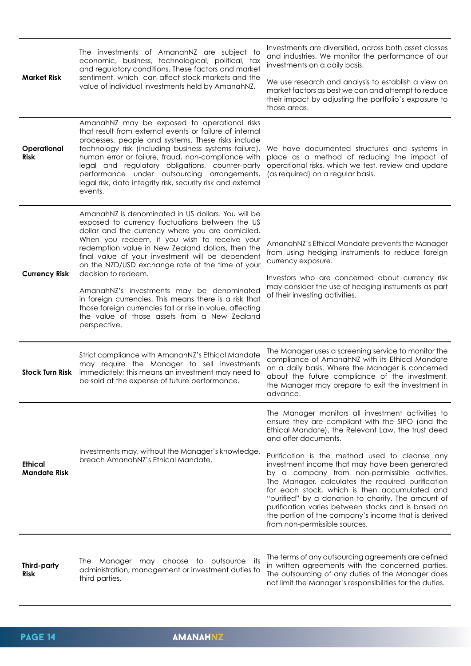| <b>Market Risk</b>             | The investments of AmanahNZ are subject to<br>economic, business, technological, political, tax<br>and regulatory conditions. These factors and market<br>sentiment, which can affect stock markets and the<br>value of individual investments held by AmanahNZ.                                                                                                                                                                                                                                                                                                                                                                  | Investments are diversified, across both asset classes<br>and industries. We monitor the performance of our<br>investments on a daily basis.<br>We use research and analysis to establish a view on<br>market factors as best we can and attempt to reduce<br>their impact by adjusting the portfolio's exposure to<br>those areas.                                                                                                                                                                                                                                                                                                                |
|--------------------------------|-----------------------------------------------------------------------------------------------------------------------------------------------------------------------------------------------------------------------------------------------------------------------------------------------------------------------------------------------------------------------------------------------------------------------------------------------------------------------------------------------------------------------------------------------------------------------------------------------------------------------------------|----------------------------------------------------------------------------------------------------------------------------------------------------------------------------------------------------------------------------------------------------------------------------------------------------------------------------------------------------------------------------------------------------------------------------------------------------------------------------------------------------------------------------------------------------------------------------------------------------------------------------------------------------|
| Operational<br><b>Risk</b>     | AmanahNZ may be exposed to operational risks<br>that result from external events or failure of internal<br>processes, people and systems. These risks include<br>technology risk (including business systems failure),<br>human error or failure, fraud, non-compliance with<br>legal and regulatory obligations, counter-party<br>performance under outsourcing arrangements,<br>legal risk, data integrity risk, security risk and external<br>events.                                                                                                                                                                          | We have documented structures and systems in<br>place as a method of reducing the impact of<br>operational risks, which we test, review and update<br>(as required) on a regular basis.                                                                                                                                                                                                                                                                                                                                                                                                                                                            |
| <b>Currency Risk</b>           | AmanahNZ is denominated in US dollars. You will be<br>exposed to currency fluctuations between the US<br>dollar and the currency where you are domiciled.<br>When you redeem, if you wish to receive your<br>redemption value in New Zealand dollars, then the<br>final value of your investment will be dependent<br>on the NZD/USD exchange rate at the time of your<br>decision to redeem.<br>AmanahNZ's investments may be denominated<br>in foreign currencies. This means there is a risk that<br>those foreign currencies fall or rise in value, affecting<br>the value of those assets from a New Zealand<br>perspective. | AmanahNZ's Ethical Mandate prevents the Manager<br>from using hedging instruments to reduce foreign<br>currency exposure.<br>Investors who are concerned about currency risk<br>may consider the use of hedging instruments as part<br>of their investing activities.                                                                                                                                                                                                                                                                                                                                                                              |
| <b>Stock Turn Risk</b>         | Strict compliance with AmanahNZ's Ethical Mandate<br>may require the Manager to sell investments<br>immediately; this means an investment may need to<br>be sold at the expense of future performance.                                                                                                                                                                                                                                                                                                                                                                                                                            | The Manager uses a screening service to monitor the<br>compliance of AmanahNZ with its Ethical Mandate<br>on a daily basis. Where the Manager is concerned<br>about the future compliance of the investment,<br>the Manager may prepare to exit the investment in<br>advance.                                                                                                                                                                                                                                                                                                                                                                      |
| Ethical<br><b>Mandate Risk</b> | Investments may, without the Manager's knowledge,<br>breach AmanahNZ's Ethical Mandate.                                                                                                                                                                                                                                                                                                                                                                                                                                                                                                                                           | The Manager monitors all investment activities to<br>ensure they are compliant with the SIPO (and the<br>Ethical Mandate), the Relevant Law, the trust deed<br>and offer documents.<br>Purification is the method used to cleanse any<br>investment income that may have been generated<br>by a company from non-permissible activities.<br>The Manager, calculates the required purification<br>for each stock, which is then accumulated and<br>"purified" by a donation to charity. The amount of<br>purification varies between stocks and is based on<br>the portion of the company's income that is derived<br>from non-permissible sources. |
| Third-party<br><b>Risk</b>     | The Manager may choose to outsource its<br>administration, management or investment duties to<br>third parties.                                                                                                                                                                                                                                                                                                                                                                                                                                                                                                                   | The terms of any outsourcing agreements are defined<br>in written agreements with the concerned parties.<br>The outsourcing of any duties of the Manager does<br>not limit the Manager's responsibilities for the duties.                                                                                                                                                                                                                                                                                                                                                                                                                          |

## **PAGE 14 amanahnz**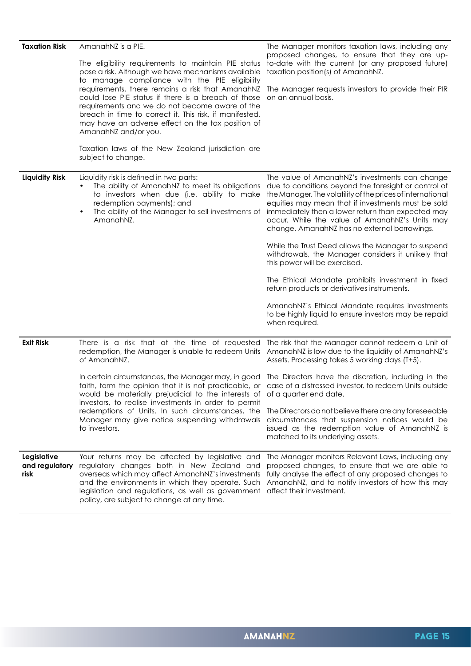| <b>Taxation Risk</b>                  | AmanahNZ is a PIE.                                                                                                                                                                                                                                                                                                                                                                                                                                                                                                   | The Manager monitors taxation laws, including any                                                                                                                                                                                                                                                                                                                                 |
|---------------------------------------|----------------------------------------------------------------------------------------------------------------------------------------------------------------------------------------------------------------------------------------------------------------------------------------------------------------------------------------------------------------------------------------------------------------------------------------------------------------------------------------------------------------------|-----------------------------------------------------------------------------------------------------------------------------------------------------------------------------------------------------------------------------------------------------------------------------------------------------------------------------------------------------------------------------------|
|                                       | The eligibility requirements to maintain PIE status<br>pose a risk. Although we have mechanisms available<br>to manage compliance with the PIE eligibility<br>requirements, there remains a risk that AmanahNZ<br>could lose PIE status if there is a breach of those<br>requirements and we do not become aware of the<br>breach in time to correct it. This risk, if manifested,<br>may have an adverse effect on the tax position of<br>AmanahNZ and/or you.<br>Taxation laws of the New Zealand jurisdiction are | proposed changes, to ensure that they are up-<br>to-date with the current (or any proposed future)<br>taxation position(s) of AmanahNZ.<br>The Manager requests investors to provide their PIR<br>on an annual basis.                                                                                                                                                             |
|                                       | subject to change.                                                                                                                                                                                                                                                                                                                                                                                                                                                                                                   |                                                                                                                                                                                                                                                                                                                                                                                   |
| <b>Liquidity Risk</b>                 | Liquidity risk is defined in two parts:<br>The ability of AmanahNZ to meet its obligations<br>to investors when due (i.e. ability to make<br>redemption payments); and<br>The ability of the Manager to sell investments of<br>$\bullet$<br>AmanahNZ.                                                                                                                                                                                                                                                                | The value of AmanahNZ's investments can change<br>due to conditions beyond the foresight or control of<br>the Manager. The volatility of the prices of international<br>equities may mean that if investments must be sold<br>immediately then a lower return than expected may<br>occur. While the value of AmanahNZ's Units may<br>change, AmanahNZ has no external borrowings. |
|                                       |                                                                                                                                                                                                                                                                                                                                                                                                                                                                                                                      | While the Trust Deed allows the Manager to suspend<br>withdrawals, the Manager considers it unlikely that<br>this power will be exercised.                                                                                                                                                                                                                                        |
|                                       |                                                                                                                                                                                                                                                                                                                                                                                                                                                                                                                      | The Ethical Mandate prohibits investment in fixed<br>return products or derivatives instruments.                                                                                                                                                                                                                                                                                  |
|                                       |                                                                                                                                                                                                                                                                                                                                                                                                                                                                                                                      | AmanahNZ's Ethical Mandate requires investments<br>to be highly liquid to ensure investors may be repaid<br>when required.                                                                                                                                                                                                                                                        |
| <b>Exit Risk</b>                      | redemption, the Manager is unable to redeem Units AmanahNZ is low due to the liquidity of AmanahNZ's<br>of AmanahNZ.                                                                                                                                                                                                                                                                                                                                                                                                 | There is a risk that at the time of requested The risk that the Manager cannot redeem a Unit of<br>Assets. Processing takes 5 working days (T+5).                                                                                                                                                                                                                                 |
|                                       | In certain circumstances, the Manager may, in good The Directors have the discretion, including in the<br>faith, form the opinion that it is not practicable, or case of a distressed investor, to redeem Units outside<br>would be materially prejudicial to the interests of of a quarter end date.<br>investors, to realise investments in order to permit                                                                                                                                                        |                                                                                                                                                                                                                                                                                                                                                                                   |
|                                       | redemptions of Units. In such circumstances, the The Directors do not believe there are any foreseeable<br>Manager may give notice suspending withdrawals<br>to investors.                                                                                                                                                                                                                                                                                                                                           | circumstances that suspension notices would be<br>issued as the redemption value of AmanahNZ is<br>matched to its underlying assets.                                                                                                                                                                                                                                              |
| Legislative<br>and regulatory<br>risk | Your returns may be affected by legislative and<br>regulatory changes both in New Zealand and<br>overseas which may affect AmanahNZ's investments<br>and the environments in which they operate. Such<br>legislation and regulations, as well as government<br>policy, are subject to change at any time.                                                                                                                                                                                                            | The Manager monitors Relevant Laws, including any<br>proposed changes, to ensure that we are able to<br>fully analyse the effect of any proposed changes to<br>AmanahNZ, and to notify investors of how this may<br>affect their investment.                                                                                                                                      |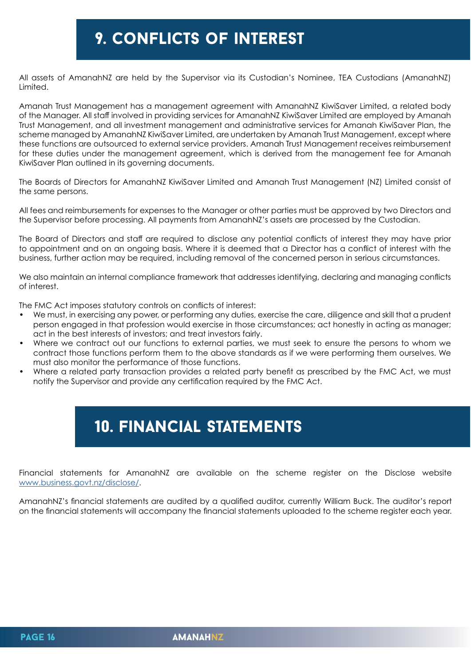## 9. conflicts of interest

All assets of AmanahNZ are held by the Supervisor via its Custodian's Nominee, TEA Custodians (AmanahNZ) Limited.

Amanah Trust Management has a management agreement with AmanahNZ KiwiSaver Limited, a related body of the Manager. All staff involved in providing services for AmanahNZ KiwiSaver Limited are employed by Amanah Trust Management, and all investment management and administrative services for Amanah KiwiSaver Plan, the scheme managed by AmanahNZ KiwiSaver Limited, are undertaken by Amanah Trust Management, except where these functions are outsourced to external service providers. Amanah Trust Management receives reimbursement for these duties under the management agreement, which is derived from the management fee for Amanah KiwiSaver Plan outlined in its governing documents.

The Boards of Directors for AmanahNZ KiwiSaver Limited and Amanah Trust Management (NZ) Limited consist of the same persons.

All fees and reimbursements for expenses to the Manager or other parties must be approved by two Directors and the Supervisor before processing. All payments from AmanahNZ's assets are processed by the Custodian.

The Board of Directors and staff are required to disclose any potential conflicts of interest they may have prior to appointment and on an ongoing basis. Where it is deemed that a Director has a conflict of interest with the business, further action may be required, including removal of the concerned person in serious circumstances.

We also maintain an internal compliance framework that addresses identifying, declaring and managing conflicts of interest.

The FMC Act imposes statutory controls on conflicts of interest:

- We must, in exercising any power, or performing any duties, exercise the care, diligence and skill that a prudent person engaged in that profession would exercise in those circumstances; act honestly in acting as manager; act in the best interests of investors; and treat investors fairly.
- Where we contract out our functions to external parties, we must seek to ensure the persons to whom we contract those functions perform them to the above standards as if we were performing them ourselves. We must also monitor the performance of those functions.
- Where a related party transaction provides a related party benefit as prescribed by the FMC Act, we must notify the Supervisor and provide any certification required by the FMC Act.

## 10. financial statements

Financial statements for AmanahNZ are available on the scheme register on the Disclose website [www.business.govt.nz/disclose/.](http://www.business.govt.nz/disclose/)

AmanahNZ's financial statements are audited by a qualified auditor, currently William Buck. The auditor's report on the financial statements will accompany the financial statements uploaded to the scheme register each year.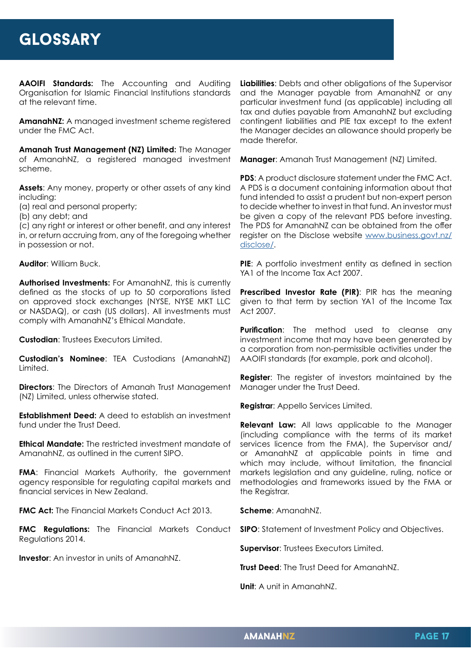**AAOIFI Standards:** The Accounting and Auditing Organisation for Islamic Financial Institutions standards at the relevant time.

**AmanahNZ:** A managed investment scheme registered under the FMC Act.

**Amanah Trust Management (NZ) Limited:** The Manager of AmanahNZ, a registered managed investment scheme.

**Assets**: Any money, property or other assets of any kind including:

(a) real and personal property;

(b) any debt; and

(c) any right or interest or other benefit, and any interest in, or return accruing from, any of the foregoing whether in possession or not.

**Auditor**: William Buck.

**Authorised Investments:** For AmanahNZ, this is currently defined as the stocks of up to 50 corporations listed on approved stock exchanges (NYSE, NYSE MKT LLC or NASDAQ), or cash (US dollars). All investments must comply with AmanahNZ's Ethical Mandate.

**Custodian**: Trustees Executors Limited.

**Custodian's Nominee**: TEA Custodians (AmanahNZ) Limited.

**Directors:** The Directors of Amanah Trust Management (NZ) Limited, unless otherwise stated.

**Establishment Deed:** A deed to establish an investment fund under the Trust Deed.

**Ethical Mandate:** The restricted investment mandate of AmanahNZ, as outlined in the current SIPO.

**FMA:** Financial Markets Authority, the government agency responsible for regulating capital markets and financial services in New Zealand.

**FMC Act:** The Financial Markets Conduct Act 2013.

**FMC Regulations:** The Financial Markets Conduct Regulations 2014.

**Investor**: An investor in units of AmanahNZ.

**Liabilities**: Debts and other obligations of the Supervisor and the Manager payable from AmanahNZ or any particular investment fund (as applicable) including all tax and duties payable from AmanahNZ but excluding contingent liabilities and PIE tax except to the extent the Manager decides an allowance should properly be made therefor.

**Manager**: Amanah Trust Management (NZ) Limited.

**PDS**: A product disclosure statement under the FMC Act. A PDS is a document containing information about that fund intended to assist a prudent but non-expert person to decide whether to invest in that fund. An investor must be given a copy of the relevant PDS before investing. The PDS for AmanahNZ can be obtained from the offer register on the Disclose website [www.business.govt.nz/](http://www.business.govt.nz/disclose/) [disclose/](http://www.business.govt.nz/disclose/).

**PIE**: A portfolio investment entity as defined in section YA1 of the Income Tax Act 2007.

**Prescribed Investor Rate (PIR)**: PIR has the meaning given to that term by section YA1 of the Income Tax Act 2007.

**Purification**: The method used to cleanse any investment income that may have been generated by a corporation from non-permissible activities under the AAOIFI standards (for example, pork and alcohol).

**Register**: The register of investors maintained by the Manager under the Trust Deed.

**Registrar**: Appello Services Limited.

**Relevant Law:** All laws applicable to the Manager (including compliance with the terms of its market services licence from the FMA), the Supervisor and/ or AmanahNZ at applicable points in time and which may include, without limitation, the financial markets legislation and any guideline, ruling, notice or methodologies and frameworks issued by the FMA or the Registrar.

**Scheme**: AmanahNZ.

**SIPO**: Statement of Investment Policy and Objectives.

**Supervisor**: Trustees Executors Limited.

**Trust Deed**: The Trust Deed for AmanahNZ.

**Unit**: A unit in AmanahNZ.